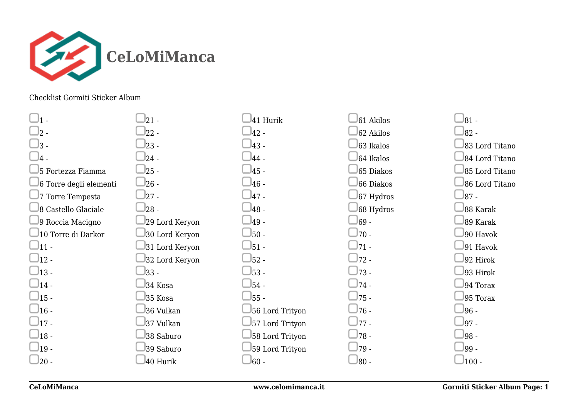

## Checklist Gormiti Sticker Album

| ᠀                      |
|------------------------|
| ς                      |
| $\overline{4}$         |
| 5 Fortezza Fiamma      |
| 6 Torre degli elementi |
| 7 Torre Tempesta       |
| 8 Castello Glaciale    |
| 9 Roccia Macigno       |
| 10 Torre di Darkor     |
| 11                     |
| $12 -$                 |
| $13 -$                 |
| $14 -$                 |
| $15 -$                 |
| $16 -$                 |
| $17 -$                 |
| $18 -$                 |
| 19                     |
| 20                     |

| 21             |
|----------------|
| $22 -$         |
| $23 -$         |
| $24 -$         |
| $25 -$         |
| $26 -$         |
| $27 -$         |
| $28 -$         |
| 29 Lord Keryon |
| 30 Lord Keryon |
| 31 Lord Keryon |
| 32 Lord Keryon |
| $33 -$         |
| 34 Kosa        |
| 35 Kosa        |
| 36 Vulkan      |
| 37 Vulkan      |
| 38 Saburo      |
| 39 Saburo      |
| 40 Hurik       |

|        | 41 Hurik        |
|--------|-----------------|
| $42 -$ |                 |
| 43 -   |                 |
| $44-$  |                 |
| $45-$  |                 |
| $46-$  |                 |
| $47-$  |                 |
| $48-$  |                 |
| 49 -   |                 |
| $50 -$ |                 |
| $51 -$ |                 |
| $52 -$ |                 |
| $53 -$ |                 |
| $54 -$ |                 |
| $55 -$ |                 |
|        | 56 Lord Trityon |
|        | 57 Lord Trityon |
|        | 58 Lord Trityon |
|        | 59 Lord Trityon |
| 60     |                 |

|        | 61 Akilos |
|--------|-----------|
|        | 62 Akilos |
|        | 63 Ikalos |
|        | 64 Ikalos |
|        | 65 Diakos |
|        | 66 Diakos |
|        | 67 Hydros |
|        | 68 Hydros |
| 69 -   |           |
| $70 -$ |           |
| $71 -$ |           |
| $72 -$ |           |
| $73 -$ |           |
| $74 -$ |           |
| $75 -$ |           |
| $76 -$ |           |
| $77 -$ |           |
| $78 -$ |           |
| 79     |           |
| 80     |           |

| 81              |                |
|-----------------|----------------|
| 82 <sub>1</sub> |                |
|                 | 83 Lord Titano |
|                 | 84 Lord Titano |
|                 | 85 Lord Titano |
|                 | 86 Lord Titano |
| $87 -$          |                |
|                 | 88 Karak       |
|                 | 89 Karak       |
|                 | 90 Havok       |
|                 | 91 Havok       |
|                 | 92 Hirok       |
|                 | 93 Hirok       |
|                 | 94 Torax       |
|                 | 95 Torax       |
| 96              |                |
| 97              |                |
| 98              |                |
| 99.             |                |
| 100             |                |